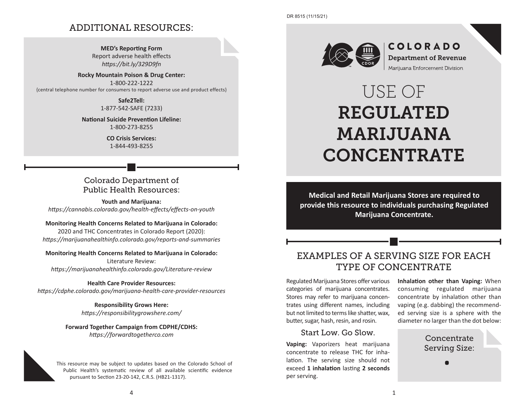## ADDITIONAL RESOURCES:

**MED's Reporting Form** Report adverse health effects *https://bit.ly/329D9fn*

**Rocky Mountain Poison & Drug Center:**  1-800-222-1222 {central telephone number for consumers to report adverse use and product effects}

> **Safe2Tell:** 1-877-542-SAFE (7233)

**National Suicide Prevention Lifeline:** 1-800-273-8255

> **CO Crisis Services:**  1-844-493-8255

## Colorado Department of Public Health Resources:

**Youth and Marijuana:** *https://cannabis.colorado.gov/health-effects/effects-on-youth*

#### **Monitoring Health Concerns Related to Marijuana in Colorado:**

2020 and THC Concentrates in Colorado Report (2020): *https://marijuanahealthinfo.colorado.gov/reports-and-summaries*

#### **Monitoring Health Concerns Related to Marijuana in Colorado:**

Literature Review: *https://marijuanahealthinfo.colorado.gov/Literature-review*

#### **Health Care Provider Resources:**

*https://cdphe.colorado.gov/marijuana-health-care-provider-resources*

**Responsibility Grows Here:** *https://responsibilitygrowshere.com/*

#### **Forward Together Campaign from CDPHE/CDHS:** *https://forwardtogetherco.com*

This resource may be subject to updates based on the Colorado School of Public Health's systematic review of all available scientific evidence pursuant to Section 23-20-142, C.R.S. (HB21-1317).



**COLORADO Department of Revenue** Marijuana Enforcement Division

# USE OF REGULATED MARIJUANA CONCENTRATE

**Medical and Retail Marijuana Stores are required to provide this resource to individuals purchasing Regulated Marijuana Concentrate.**

# EXAMPLES OF A SERVING SIZE FOR EACH TYPE OF CONCENTRATE

Regulated Marijuana Stores offer various categories of marijuana concentrates. Stores may refer to marijuana concentrates using different names, including but not limited to terms like shatter, wax, butter, sugar, hash, resin, and rosin.

#### Start Low. Go Slow.

**Vaping:** Vaporizers heat marijuana concentrate to release THC for inhalation. The serving size should not exceed **1 inhalation** lasting **2 seconds** per serving.

**Inhalation other than Vaping:** When consuming regulated marijuana concentrate by inhalation other than vaping (e.g. dabbing) the recommended serving size is a sphere with the diameter no larger than the dot below:

> Concentrate Serving Size: ce:<br>ing<br>●